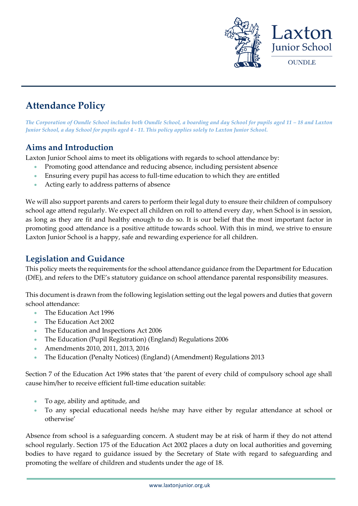

# **Attendance Policy**

*The Corporation of Oundle School includes both Oundle School, a boarding and day School for pupils aged 11 – 18 and Laxton Junior School, a day School for pupils aged 4 - 11. This policy applies solely to Laxton Junior School.*

### **Aims and Introduction**

Laxton Junior School aims to meet its obligations with regards to school attendance by:

- Promoting good attendance and reducing absence, including persistent absence
- Ensuring every pupil has access to full-time education to which they are entitled
- Acting early to address patterns of absence

We will also support parents and carers to perform their legal duty to ensure their children of compulsory school age attend regularly. We expect all children on roll to attend every day, when School is in session, as long as they are fit and healthy enough to do so. It is our belief that the most important factor in promoting good attendance is a positive attitude towards school. With this in mind, we strive to ensure Laxton Junior School is a happy, safe and rewarding experience for all children.

### **Legislation and Guidance**

This policy meets the requirements for the school attendance guidance from the Department for Education (DfE), and refers to the DfE's statutory guidance on school attendance parental responsibility measures.

This document is drawn from the following legislation setting out the legal powers and duties that govern school attendance:

- The Education Act 1996
- The Education Act 2002
- The Education and Inspections Act 2006
- The Education (Pupil Registration) (England) Regulations 2006
- Amendments 2010, 2011, 2013, 2016
- The Education (Penalty Notices) (England) (Amendment) Regulations 2013

Section 7 of the Education Act 1996 states that 'the parent of every child of compulsory school age shall cause him/her to receive efficient full-time education suitable:

- To age, ability and aptitude, and
- To any special educational needs he/she may have either by regular attendance at school or otherwise'

Absence from school is a safeguarding concern. A student may be at risk of harm if they do not attend school regularly. Section 175 of the Education Act 2002 places a duty on local authorities and governing bodies to have regard to guidance issued by the Secretary of State with regard to safeguarding and promoting the welfare of children and students under the age of 18.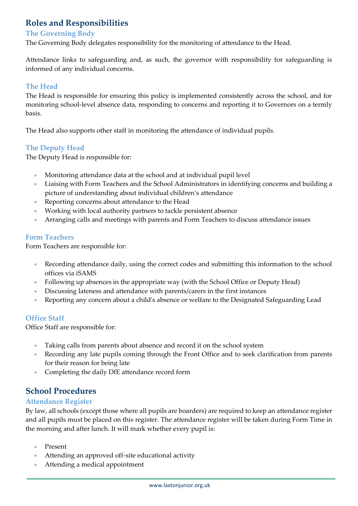### **Roles and Responsibilities**

#### **The Governing Body**

The Governing Body delegates responsibility for the monitoring of attendance to the Head.

Attendance links to safeguarding and, as such, the governor with responsibility for safeguarding is informed of any individual concerns.

#### **The Head**

The Head is responsible for ensuring this policy is implemented consistently across the school, and for monitoring school-level absence data, responding to concerns and reporting it to Governors on a termly basis.

The Head also supports other staff in monitoring the attendance of individual pupils.

#### **The Deputy Head**

The Deputy Head is responsible for:

- Monitoring attendance data at the school and at individual pupil level
- Liaising with Form Teachers and the School Administrators in identifying concerns and building a picture of understanding about individual children's attendance
- Reporting concerns about attendance to the Head
- Working with local authority partners to tackle persistent absence
- Arranging calls and meetings with parents and Form Teachers to discuss attendance issues

#### **Form Teachers**

Form Teachers are responsible for:

- Recording attendance daily, using the correct codes and submitting this information to the school offices via iSAMS
- Following up absences in the appropriate way (with the School Office or Deputy Head)
- Discussing lateness and attendance with parents/carers in the first instances
- Reporting any concern about a child's absence or welfare to the Designated Safeguarding Lead

#### **Office Staff**

Office Staff are responsible for:

- Taking calls from parents about absence and record it on the school system
- Recording any late pupils coming through the Front Office and to seek clarification from parents for their reason for being late
- Completing the daily DfE attendance record form

### **School Procedures**

#### **Attendance Register**

By law, all schools (except those where all pupils are boarders) are required to keep an attendance register and all pupils must be placed on this register. The attendance register will be taken during Form Time in the morning and after lunch. It will mark whether every pupil is:

- Present
- Attending an approved off-site educational activity
- Attending a medical appointment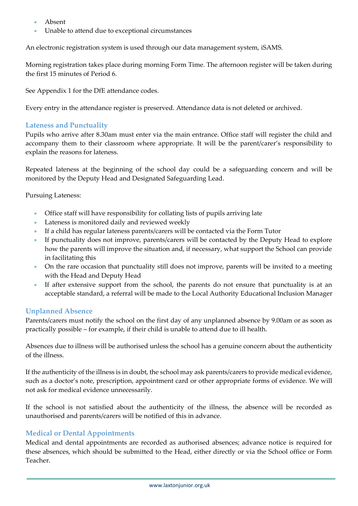- Absent
- Unable to attend due to exceptional circumstances

An electronic registration system is used through our data management system, iSAMS.

Morning registration takes place during morning Form Time. The afternoon register will be taken during the first 15 minutes of Period 6.

See Appendix 1 for the DfE attendance codes.

Every entry in the attendance register is preserved. Attendance data is not deleted or archived.

#### **Lateness and Punctuality**

Pupils who arrive after 8.30am must enter via the main entrance. Office staff will register the child and accompany them to their classroom where appropriate. It will be the parent/carer's responsibility to explain the reasons for lateness.

Repeated lateness at the beginning of the school day could be a safeguarding concern and will be monitored by the Deputy Head and Designated Safeguarding Lead.

Pursuing Lateness:

- Office staff will have responsibility for collating lists of pupils arriving late
- Lateness is monitored daily and reviewed weekly
- If a child has regular lateness parents/carers will be contacted via the Form Tutor
- If punctuality does not improve, parents/carers will be contacted by the Deputy Head to explore how the parents will improve the situation and, if necessary, what support the School can provide in facilitating this
- On the rare occasion that punctuality still does not improve, parents will be invited to a meeting with the Head and Deputy Head
- If after extensive support from the school, the parents do not ensure that punctuality is at an acceptable standard, a referral will be made to the Local Authority Educational Inclusion Manager

#### **Unplanned Absence**

Parents/carers must notify the school on the first day of any unplanned absence by 9.00am or as soon as practically possible – for example, if their child is unable to attend due to ill health.

Absences due to illness will be authorised unless the school has a genuine concern about the authenticity of the illness.

If the authenticity of the illness is in doubt, the school may ask parents/carers to provide medical evidence, such as a doctor's note, prescription, appointment card or other appropriate forms of evidence. We will not ask for medical evidence unnecessarily.

If the school is not satisfied about the authenticity of the illness, the absence will be recorded as unauthorised and parents/carers will be notified of this in advance.

#### **Medical or Dental Appointments**

Medical and dental appointments are recorded as authorised absences; advance notice is required for these absences, which should be submitted to the Head, either directly or via the School office or Form Teacher.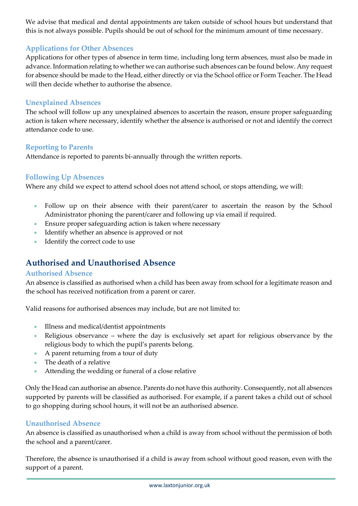We advise that medical and dental appointments are taken outside of school hours but understand that this is not always possible. Pupils should be out of school for the minimum amount of time necessary.

#### **Applications for Other Absences**

Applications for other types of absence in term time, including long term absences, must also be made in advance. Information relating to whether we can authorise such absences can be found below. Any request for absence should be made to the Head, either directly or via the School office or Form Teacher. The Head will then decide whether to authorise the absence.

#### **Unexplained Absences**

The school will follow up any unexplained absences to ascertain the reason, ensure proper safeguarding action is taken where necessary, identify whether the absence is authorised or not and identify the correct attendance code to use.

#### **Reporting to Parents**

Attendance is reported to parents bi-annually through the written reports.

#### **Following Up Absences**

Where any child we expect to attend school does not attend school, or stops attending, we will:

- Follow up on their absence with their parent/carer to ascertain the reason by the School Administrator phoning the parent/carer and following up via email if required.
- Ensure proper safeguarding action is taken where necessary
- Identify whether an absence is approved or not
- Identify the correct code to use

### **Authorised and Unauthorised Absence**

#### **Authorised Absence**

An absence is classified as authorised when a child has been away from school for a legitimate reason and the school has received notification from a parent or carer.

Valid reasons for authorised absences may include, but are not limited to:

- Illness and medical/dentist appointments
- Religious observance where the day is exclusively set apart for religious observance by the religious body to which the pupil's parents belong.
- A parent returning from a tour of duty
- The death of a relative
- Attending the wedding or funeral of a close relative

Only the Head can authorise an absence. Parents do not have this authority. Consequently, not all absences supported by parents will be classified as authorised. For example, if a parent takes a child out of school to go shopping during school hours, it will not be an authorised absence.

#### **Unauthorised Absence**

An absence is classified as unauthorised when a child is away from school without the permission of both the school and a parent/carer.

Therefore, the absence is unauthorised if a child is away from school without good reason, even with the support of a parent.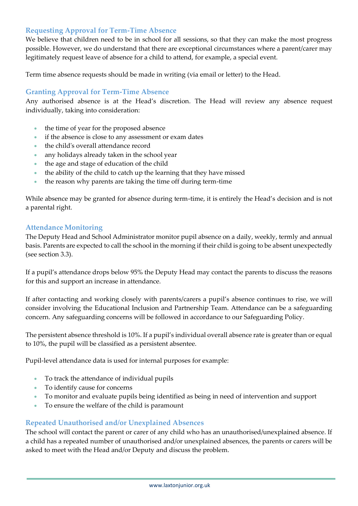#### **Requesting Approval for Term-Time Absence**

We believe that children need to be in school for all sessions, so that they can make the most progress possible. However, we do understand that there are exceptional circumstances where a parent/carer may legitimately request leave of absence for a child to attend, for example, a special event.

Term time absence requests should be made in writing (via email or letter) to the Head.

#### **Granting Approval for Term-Time Absence**

Any authorised absence is at the Head's discretion. The Head will review any absence request individually, taking into consideration:

- the time of year for the proposed absence
- if the absence is close to any assessment or exam dates
- the child's overall attendance record
- any holidays already taken in the school year
- the age and stage of education of the child
- the ability of the child to catch up the learning that they have missed
- the reason why parents are taking the time off during term-time

While absence may be granted for absence during term-time, it is entirely the Head's decision and is not a parental right.

#### **Attendance Monitoring**

The Deputy Head and School Administrator monitor pupil absence on a daily, weekly, termly and annual basis. Parents are expected to call the school in the morning if their child is going to be absent unexpectedly (see section 3.3).

If a pupil's attendance drops below 95% the Deputy Head may contact the parents to discuss the reasons for this and support an increase in attendance.

If after contacting and working closely with parents/carers a pupil's absence continues to rise, we will consider involving the Educational Inclusion and Partnership Team. Attendance can be a safeguarding concern. Any safeguarding concerns will be followed in accordance to our Safeguarding Policy.

The persistent absence threshold is 10%. If a pupil's individual overall absence rate is greater than or equal to 10%, the pupil will be classified as a persistent absentee.

Pupil-level attendance data is used for internal purposes for example:

- To track the attendance of individual pupils
- To identify cause for concerns
- To monitor and evaluate pupils being identified as being in need of intervention and support
- To ensure the welfare of the child is paramount

#### **Repeated Unauthorised and/or Unexplained Absences**

The school will contact the parent or carer of any child who has an unauthorised/unexplained absence. If a child has a repeated number of unauthorised and/or unexplained absences, the parents or carers will be asked to meet with the Head and/or Deputy and discuss the problem.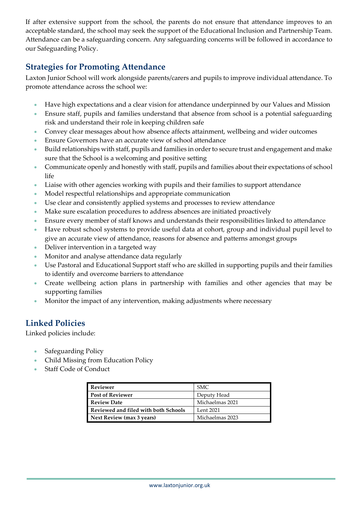If after extensive support from the school, the parents do not ensure that attendance improves to an acceptable standard, the school may seek the support of the Educational Inclusion and Partnership Team. Attendance can be a safeguarding concern. Any safeguarding concerns will be followed in accordance to our Safeguarding Policy.

### **Strategies for Promoting Attendance**

Laxton Junior School will work alongside parents/carers and pupils to improve individual attendance. To promote attendance across the school we:

- Have high expectations and a clear vision for attendance underpinned by our Values and Mission
- Ensure staff, pupils and families understand that absence from school is a potential safeguarding risk and understand their role in keeping children safe
- Convey clear messages about how absence affects attainment, wellbeing and wider outcomes
- Ensure Governors have an accurate view of school attendance
- Build relationships with staff, pupils and families in order to secure trust and engagement and make sure that the School is a welcoming and positive setting
- Communicate openly and honestly with staff, pupils and families about their expectations of school life
- Liaise with other agencies working with pupils and their families to support attendance
- Model respectful relationships and appropriate communication
- Use clear and consistently applied systems and processes to review attendance
- Make sure escalation procedures to address absences are initiated proactively
- Ensure every member of staff knows and understands their responsibilities linked to attendance
- Have robust school systems to provide useful data at cohort, group and individual pupil level to give an accurate view of attendance, reasons for absence and patterns amongst groups
- Deliver intervention in a targeted way
- Monitor and analyse attendance data regularly
- Use Pastoral and Educational Support staff who are skilled in supporting pupils and their families to identify and overcome barriers to attendance
- Create wellbeing action plans in partnership with families and other agencies that may be supporting families
- Monitor the impact of any intervention, making adjustments where necessary

### **Linked Policies**

Linked policies include:

- Safeguarding Policy
- Child Missing from Education Policy
- Staff Code of Conduct

| <b>Reviewer</b>                      | SMC.            |
|--------------------------------------|-----------------|
| <b>Post of Reviewer</b>              | Deputy Head     |
| <b>Review Date</b>                   | Michaelmas 2021 |
| Reviewed and filed with both Schools | Lent 2021       |
| Next Review (max 3 years)            | Michaelmas 2023 |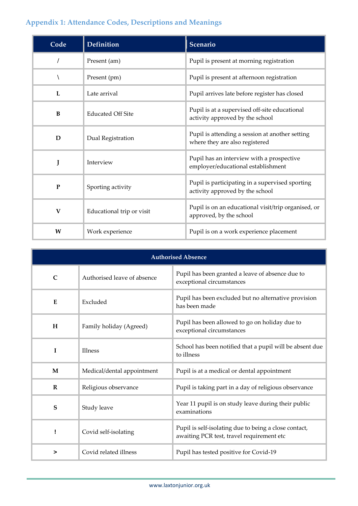## **Appendix 1: Attendance Codes, Descriptions and Meanings**

| Code         | <b>Definition</b>         | Scenario                                                                           |
|--------------|---------------------------|------------------------------------------------------------------------------------|
|              | Present (am)              | Pupil is present at morning registration                                           |
|              | Present (pm)              | Pupil is present at afternoon registration                                         |
| L            | Late arrival              | Pupil arrives late before register has closed                                      |
| B            | <b>Educated Off Site</b>  | Pupil is at a supervised off-site educational<br>activity approved by the school   |
| D            | Dual Registration         | Pupil is attending a session at another setting<br>where they are also registered  |
| J            | Interview                 | Pupil has an interview with a prospective<br>employer/educational establishment    |
| P            | Sporting activity         | Pupil is participating in a supervised sporting<br>activity approved by the school |
| $\mathbf{V}$ | Educational trip or visit | Pupil is on an educational visit/trip organised, or<br>approved, by the school     |
| W            | Work experience           | Pupil is on a work experience placement                                            |

| <b>Authorised Absence</b> |                             |                                                                                                    |  |
|---------------------------|-----------------------------|----------------------------------------------------------------------------------------------------|--|
| $\mathsf{C}$              | Authorised leave of absence | Pupil has been granted a leave of absence due to<br>exceptional circumstances                      |  |
| E                         | Excluded                    | Pupil has been excluded but no alternative provision<br>has been made                              |  |
| H                         | Family holiday (Agreed)     | Pupil has been allowed to go on holiday due to<br>exceptional circumstances                        |  |
| T                         | <b>Illness</b>              | School has been notified that a pupil will be absent due<br>to illness                             |  |
| M                         | Medical/dental appointment  | Pupil is at a medical or dental appointment                                                        |  |
| R                         | Religious observance        | Pupil is taking part in a day of religious observance                                              |  |
| S                         | Study leave                 | Year 11 pupil is on study leave during their public<br>examinations                                |  |
|                           | Covid self-isolating        | Pupil is self-isolating due to being a close contact,<br>awaiting PCR test, travel requirement etc |  |
| >                         | Covid related illness       | Pupil has tested positive for Covid-19                                                             |  |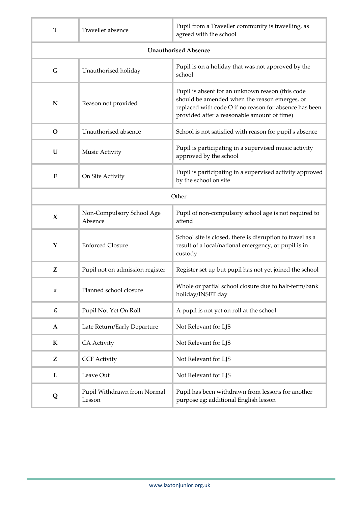| T                           | Traveller absence                     | Pupil from a Traveller community is travelling, as<br>agreed with the school                                                                                                                               |  |
|-----------------------------|---------------------------------------|------------------------------------------------------------------------------------------------------------------------------------------------------------------------------------------------------------|--|
| <b>Unauthorised Absence</b> |                                       |                                                                                                                                                                                                            |  |
| G                           | Unauthorised holiday                  | Pupil is on a holiday that was not approved by the<br>school                                                                                                                                               |  |
| N                           | Reason not provided                   | Pupil is absent for an unknown reason (this code<br>should be amended when the reason emerges, or<br>replaced with code O if no reason for absence has been<br>provided after a reasonable amount of time) |  |
| $\mathbf O$                 | Unauthorised absence                  | School is not satisfied with reason for pupil's absence                                                                                                                                                    |  |
| $\mathbf U$                 | Music Activity                        | Pupil is participating in a supervised music activity<br>approved by the school                                                                                                                            |  |
| F                           | On Site Activity                      | Pupil is participating in a supervised activity approved<br>by the school on site                                                                                                                          |  |
| Other                       |                                       |                                                                                                                                                                                                            |  |
| $\mathbf x$                 | Non-Compulsory School Age<br>Absence  | Pupil of non-compulsory school age is not required to<br>attend                                                                                                                                            |  |
| Y                           | <b>Enforced Closure</b>               | School site is closed, there is disruption to travel as a<br>result of a local/national emergency, or pupil is in<br>custody                                                                               |  |
| Z                           | Pupil not on admission register       | Register set up but pupil has not yet joined the school                                                                                                                                                    |  |
| #                           | Planned school closure                | Whole or partial school closure due to half-term/bank<br>holiday/INSET day                                                                                                                                 |  |
| $\pmb{\mathit{f}}$          | Pupil Not Yet On Roll                 | A pupil is not yet on roll at the school                                                                                                                                                                   |  |
| $\mathbf A$                 | Late Return/Early Departure           | Not Relevant for LJS                                                                                                                                                                                       |  |
| $\mathbf K$                 | <b>CA Activity</b>                    | Not Relevant for LJS                                                                                                                                                                                       |  |
| Z                           | <b>CCF Activity</b>                   | Not Relevant for LJS                                                                                                                                                                                       |  |
| L                           | Leave Out                             | Not Relevant for LJS                                                                                                                                                                                       |  |
| Q                           | Pupil Withdrawn from Normal<br>Lesson | Pupil has been withdrawn from lessons for another<br>purpose eg: additional English lesson                                                                                                                 |  |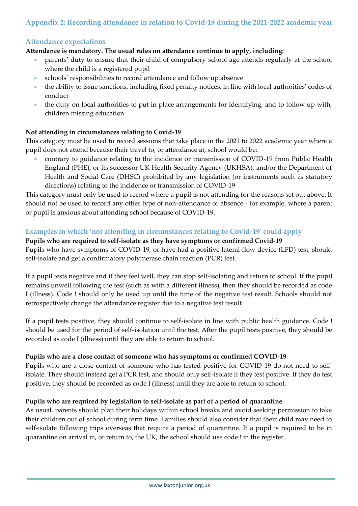#### **Appendix 2: Recording attendance in relation to Covid-19 during the 2021-2022 academic year**

#### **Attendance expectations**

#### **Attendance is mandatory. The usual rules on attendance continue to apply, including:**

- parents' duty to ensure that their child of compulsory school age attends regularly at the school where the child is a registered pupil
- schools' responsibilities to record attendance and follow up absence
- the ability to issue sanctions, including fixed penalty notices, in line with local authorities' codes of conduct
- the duty on local authorities to put in place arrangements for identifying, and to follow up with, children missing education

#### **Not attending in circumstances relating to Covid-19**

This category must be used to record sessions that take place in the 2021 to 2022 academic year where a pupil does not attend because their travel to, or attendance at, school would be:

• contrary to guidance relating to the incidence or transmission of COVID-19 from Public Health England (PHE), or its successor UK Health Security Agency (UKHSA), and/or the Department of Health and Social Care (DHSC) prohibited by any legislation (or instruments such as statutory directions) relating to the incidence or transmission of COVID-19

This category must only be used to record where a pupil is not attending for the reasons set out above. It should not be used to record any other type of non-attendance or absence - for example, where a parent or pupil is anxious about attending school because of COVID-19.

#### **Examples in which 'not attending in circumstances relating to Covid-19' could apply**

### **Pupils who are required to self-isolate as they have symptoms or confirmed Covid-19**

Pupils who have symptoms of COVID-19, or have had a positive lateral flow device (LFD) test, should self-isolate and get a confirmatory polymerase chain reaction (PCR) test.

If a pupil tests negative and if they feel well, they can stop self-isolating and return to school. If the pupil remains unwell following the test (such as with a different illness), then they should be recorded as code I (illness). Code ! should only be used up until the time of the negative test result. Schools should not retrospectively change the attendance register due to a negative test result.

If a pupil tests positive, they should continue to self-isolate in line with public health guidance. Code ! should be used for the period of self-isolation until the test. After the pupil tests positive, they should be recorded as code I (illness) until they are able to return to school.

#### **Pupils who are a close contact of someone who has symptoms or confirmed COVID-19**

Pupils who are a close contact of someone who has tested positive for COVID-19 do not need to selfisolate. They should instead get a PCR test, and should only self-isolate if they test positive. If they do test positive, they should be recorded as code I (illness) until they are able to return to school.

#### **Pupils who are required by legislation to self-isolate as part of a period of quarantine**

As usual, parents should plan their holidays within school breaks and avoid seeking permission to take their children out of school during term time. Families should also consider that their child may need to self-isolate following trips overseas that require a period of quarantine. If a pupil is required to be in quarantine on arrival in, or return to, the UK, the school should use code ! in the register.